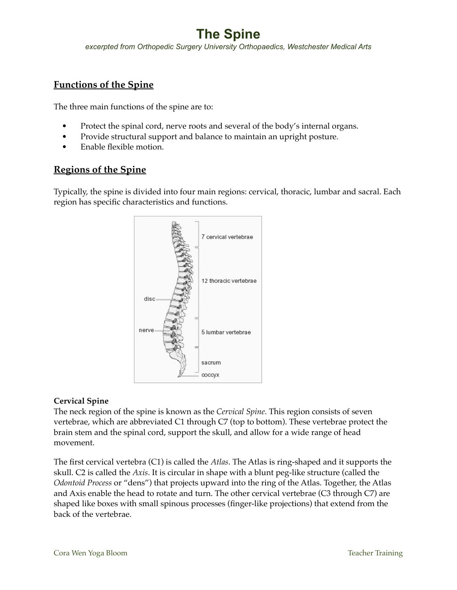*excerpted from Orthopedic Surgery University Orthopaedics, Westchester Medical Arts*

# **Functions of the Spine**

The three main functions of the spine are to:

- Protect the spinal cord, nerve roots and several of the body's internal organs.
- Provide structural support and balance to maintain an upright posture.
- Enable flexible motion.

## **Regions of the Spine**

Typically, the spine is divided into four main regions: cervical, thoracic, lumbar and sacral. Each region has specific characteristics and functions.



## **Cervical Spine**

The neck region of the spine is known as the *Cervical Spine*. This region consists of seven vertebrae, which are abbreviated C1 through C7 (top to bottom). These vertebrae protect the brain stem and the spinal cord, support the skull, and allow for a wide range of head movement.

The first cervical vertebra (C1) is called the *Atlas*. The Atlas is ring-shaped and it supports the skull. C2 is called the *Axis*. It is circular in shape with a blunt peg-like structure (called the *Odontoid Process* or "dens") that projects upward into the ring of the Atlas. Together, the Atlas and Axis enable the head to rotate and turn. The other cervical vertebrae (C3 through C7) are shaped like boxes with small spinous processes (finger-like projections) that extend from the back of the vertebrae.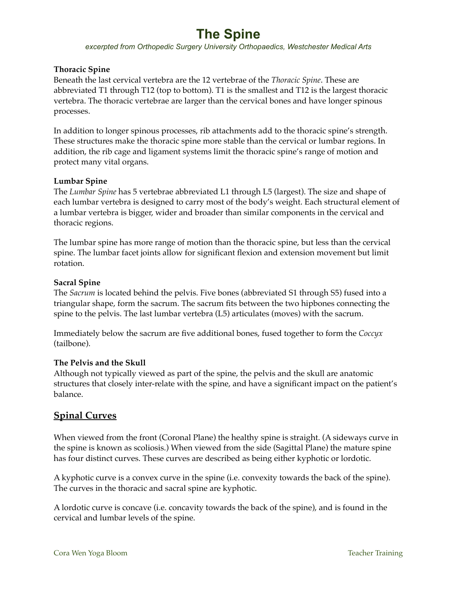*excerpted from Orthopedic Surgery University Orthopaedics, Westchester Medical Arts*

## **Thoracic Spine**

Beneath the last cervical vertebra are the 12 vertebrae of the *Thoracic Spine*. These are abbreviated T1 through T12 (top to bottom). T1 is the smallest and T12 is the largest thoracic vertebra. The thoracic vertebrae are larger than the cervical bones and have longer spinous processes.

In addition to longer spinous processes, rib attachments add to the thoracic spine's strength. These structures make the thoracic spine more stable than the cervical or lumbar regions. In addition, the rib cage and ligament systems limit the thoracic spine's range of motion and protect many vital organs.

## **Lumbar Spine**

The *Lumbar Spine* has 5 vertebrae abbreviated L1 through L5 (largest). The size and shape of each lumbar vertebra is designed to carry most of the body's weight. Each structural element of a lumbar vertebra is bigger, wider and broader than similar components in the cervical and thoracic regions.

The lumbar spine has more range of motion than the thoracic spine, but less than the cervical spine. The lumbar facet joints allow for significant flexion and extension movement but limit rotation.

## **Sacral Spine**

The *Sacrum* is located behind the pelvis. Five bones (abbreviated S1 through S5) fused into a triangular shape, form the sacrum. The sacrum fits between the two hipbones connecting the spine to the pelvis. The last lumbar vertebra (L5) articulates (moves) with the sacrum.

Immediately below the sacrum are five additional bones, fused together to form the *Coccyx* (tailbone).

### **The Pelvis and the Skull**

Although not typically viewed as part of the spine, the pelvis and the skull are anatomic structures that closely inter-relate with the spine, and have a significant impact on the patient's balance.

# **Spinal Curves**

When viewed from the front (Coronal Plane) the healthy spine is straight. (A sideways curve in the spine is known as scoliosis.) When viewed from the side (Sagittal Plane) the mature spine has four distinct curves. These curves are described as being either kyphotic or lordotic.

A kyphotic curve is a convex curve in the spine (i.e. convexity towards the back of the spine). The curves in the thoracic and sacral spine are kyphotic.

A lordotic curve is concave (i.e. concavity towards the back of the spine), and is found in the cervical and lumbar levels of the spine.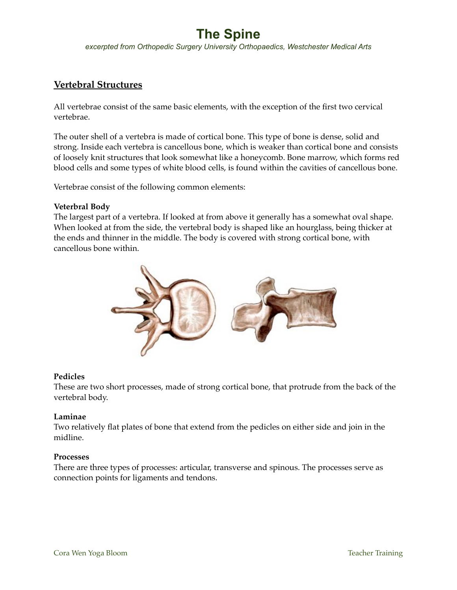*excerpted from Orthopedic Surgery University Orthopaedics, Westchester Medical Arts*

# **Vertebral Structures**

All vertebrae consist of the same basic elements, with the exception of the first two cervical vertebrae.

The outer shell of a vertebra is made of cortical bone. This type of bone is dense, solid and strong. Inside each vertebra is cancellous bone, which is weaker than cortical bone and consists of loosely knit structures that look somewhat like a honeycomb. Bone marrow, which forms red blood cells and some types of white blood cells, is found within the cavities of cancellous bone.

Vertebrae consist of the following common elements:

#### **Veterbral Body**

The largest part of a vertebra. If looked at from above it generally has a somewhat oval shape. When looked at from the side, the vertebral body is shaped like an hourglass, being thicker at the ends and thinner in the middle. The body is covered with strong cortical bone, with cancellous bone within.



#### **Pedicles**

These are two short processes, made of strong cortical bone, that protrude from the back of the vertebral body.

### **Laminae**

Two relatively flat plates of bone that extend from the pedicles on either side and join in the midline.

#### **Processes**

There are three types of processes: articular, transverse and spinous. The processes serve as connection points for ligaments and tendons.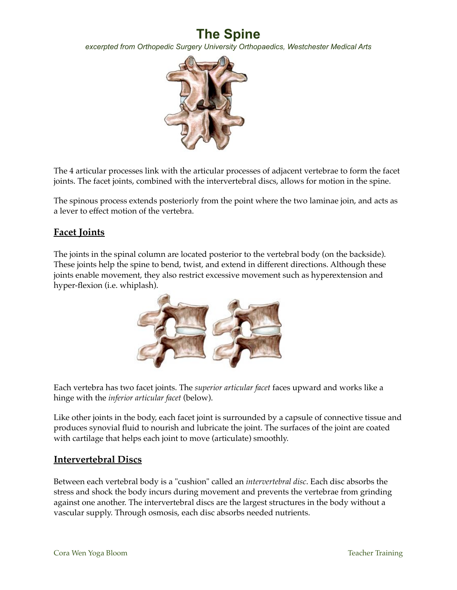*excerpted from Orthopedic Surgery University Orthopaedics, Westchester Medical Arts*



The 4 articular processes link with the articular processes of adjacent vertebrae to form the facet joints. The facet joints, combined with the intervertebral discs, allows for motion in the spine.

The spinous process extends posteriorly from the point where the two laminae join, and acts as a lever to effect motion of the vertebra.

## **Facet Joints**

The joints in the spinal column are located posterior to the vertebral body (on the backside). These joints help the spine to bend, twist, and extend in different directions. Although these joints enable movement, they also restrict excessive movement such as hyperextension and hyper-flexion (i.e. whiplash).



Each vertebra has two facet joints. The *superior articular facet* faces upward and works like a hinge with the *inferior articular facet* (below).

Like other joints in the body, each facet joint is surrounded by a capsule of connective tissue and produces synovial fluid to nourish and lubricate the joint. The surfaces of the joint are coated with cartilage that helps each joint to move (articulate) smoothly.

## **Intervertebral Discs**

Between each vertebral body is a "cushion" called an *intervertebral disc*. Each disc absorbs the stress and shock the body incurs during movement and prevents the vertebrae from grinding against one another. The intervertebral discs are the largest structures in the body without a vascular supply. Through osmosis, each disc absorbs needed nutrients.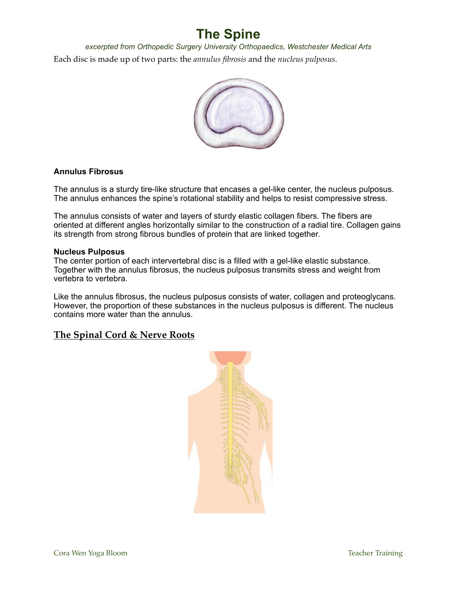Each disc is made up of two parts: the *annulus fibrosis* and the *nucleus pulposus*. *excerpted from Orthopedic Surgery University Orthopaedics, Westchester Medical Arts*



### **Annulus Fibrosus**

The annulus is a sturdy tire-like structure that encases a gel-like center, the nucleus pulposus. The annulus enhances the spine's rotational stability and helps to resist compressive stress.

The annulus consists of water and layers of sturdy elastic collagen fibers. The fibers are oriented at different angles horizontally similar to the construction of a radial tire. Collagen gains its strength from strong fibrous bundles of protein that are linked together.

#### **Nucleus Pulposus**

The center portion of each intervertebral disc is a filled with a gel-like elastic substance. Together with the annulus fibrosus, the nucleus pulposus transmits stress and weight from vertebra to vertebra.

Like the annulus fibrosus, the nucleus pulposus consists of water, collagen and proteoglycans. However, the proportion of these substances in the nucleus pulposus is different. The nucleus contains more water than the annulus.

## **The Spinal Cord & Nerve Roots**

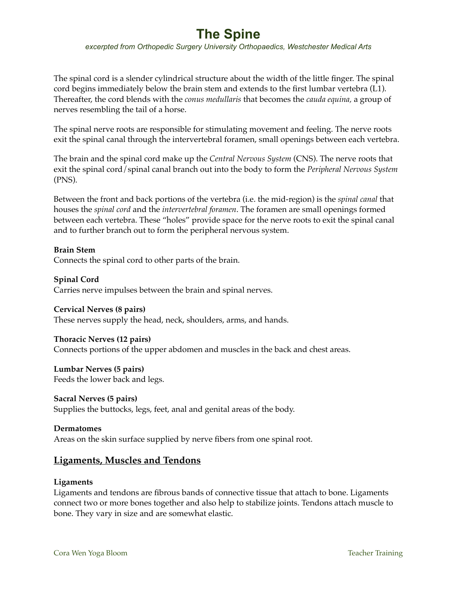*excerpted from Orthopedic Surgery University Orthopaedics, Westchester Medical Arts*

The spinal cord is a slender cylindrical structure about the width of the little finger. The spinal cord begins immediately below the brain stem and extends to the first lumbar vertebra (L1). Thereafter, the cord blends with the *conus medullaris* that becomes the *cauda equina,* a group of nerves resembling the tail of a horse.

The spinal nerve roots are responsible for stimulating movement and feeling. The nerve roots exit the spinal canal through the intervertebral foramen, small openings between each vertebra.

The brain and the spinal cord make up the *Central Nervous System* (CNS). The nerve roots that exit the spinal cord/spinal canal branch out into the body to form the *Peripheral Nervous System* (PNS).

Between the front and back portions of the vertebra (i.e. the mid-region) is the *spinal canal* that houses the *spinal cord* and the *intervertebral foramen*. The foramen are small openings formed between each vertebra. These "holes" provide space for the nerve roots to exit the spinal canal and to further branch out to form the peripheral nervous system.

**Brain Stem** Connects the spinal cord to other parts of the brain.

**Spinal Cord** Carries nerve impulses between the brain and spinal nerves.

### **Cervical Nerves (8 pairs)**

These nerves supply the head, neck, shoulders, arms, and hands.

#### **Thoracic Nerves (12 pairs)**

Connects portions of the upper abdomen and muscles in the back and chest areas.

### **Lumbar Nerves (5 pairs)** Feeds the lower back and legs.

**Sacral Nerves (5 pairs)** Supplies the buttocks, legs, feet, anal and genital areas of the body.

# **Dermatomes**

Areas on the skin surface supplied by nerve fibers from one spinal root.

## **Ligaments, Muscles and Tendons**

#### **Ligaments**

Ligaments and tendons are fibrous bands of connective tissue that attach to bone. Ligaments connect two or more bones together and also help to stabilize joints. Tendons attach muscle to bone. They vary in size and are somewhat elastic.